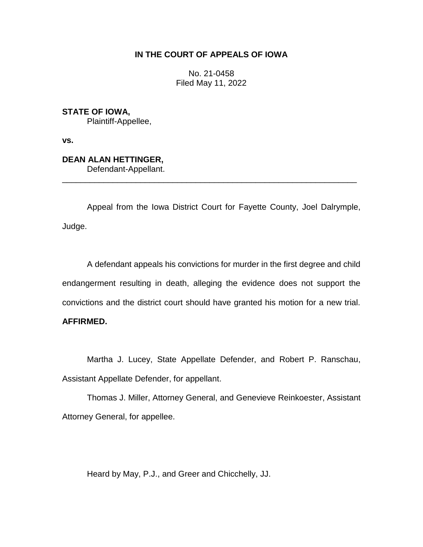## **IN THE COURT OF APPEALS OF IOWA**

No. 21-0458 Filed May 11, 2022

**STATE OF IOWA,**

Plaintiff-Appellee,

**vs.**

# **DEAN ALAN HETTINGER,**

Defendant-Appellant.

Appeal from the Iowa District Court for Fayette County, Joel Dalrymple, Judge.

\_\_\_\_\_\_\_\_\_\_\_\_\_\_\_\_\_\_\_\_\_\_\_\_\_\_\_\_\_\_\_\_\_\_\_\_\_\_\_\_\_\_\_\_\_\_\_\_\_\_\_\_\_\_\_\_\_\_\_\_\_\_\_\_

A defendant appeals his convictions for murder in the first degree and child endangerment resulting in death, alleging the evidence does not support the convictions and the district court should have granted his motion for a new trial.

## **AFFIRMED.**

Martha J. Lucey, State Appellate Defender, and Robert P. Ranschau, Assistant Appellate Defender, for appellant.

Thomas J. Miller, Attorney General, and Genevieve Reinkoester, Assistant Attorney General, for appellee.

Heard by May, P.J., and Greer and Chicchelly, JJ.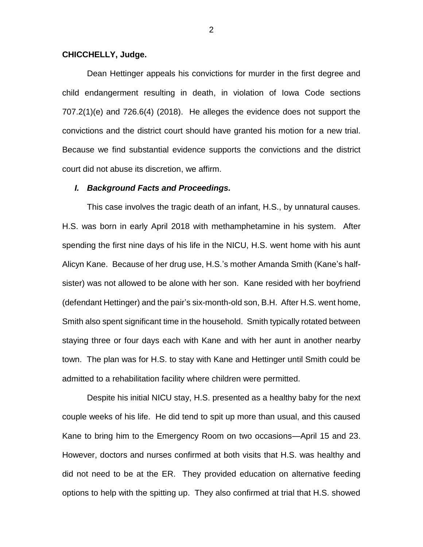### **CHICCHELLY, Judge.**

Dean Hettinger appeals his convictions for murder in the first degree and child endangerment resulting in death, in violation of Iowa Code sections 707.2(1)(e) and 726.6(4) (2018). He alleges the evidence does not support the convictions and the district court should have granted his motion for a new trial. Because we find substantial evidence supports the convictions and the district court did not abuse its discretion, we affirm.

#### *I. Background Facts and Proceedings.*

This case involves the tragic death of an infant, H.S., by unnatural causes. H.S. was born in early April 2018 with methamphetamine in his system. After spending the first nine days of his life in the NICU, H.S. went home with his aunt Alicyn Kane. Because of her drug use, H.S.'s mother Amanda Smith (Kane's halfsister) was not allowed to be alone with her son. Kane resided with her boyfriend (defendant Hettinger) and the pair's six-month-old son, B.H. After H.S. went home, Smith also spent significant time in the household. Smith typically rotated between staying three or four days each with Kane and with her aunt in another nearby town. The plan was for H.S. to stay with Kane and Hettinger until Smith could be admitted to a rehabilitation facility where children were permitted.

Despite his initial NICU stay, H.S. presented as a healthy baby for the next couple weeks of his life. He did tend to spit up more than usual, and this caused Kane to bring him to the Emergency Room on two occasions—April 15 and 23. However, doctors and nurses confirmed at both visits that H.S. was healthy and did not need to be at the ER. They provided education on alternative feeding options to help with the spitting up. They also confirmed at trial that H.S. showed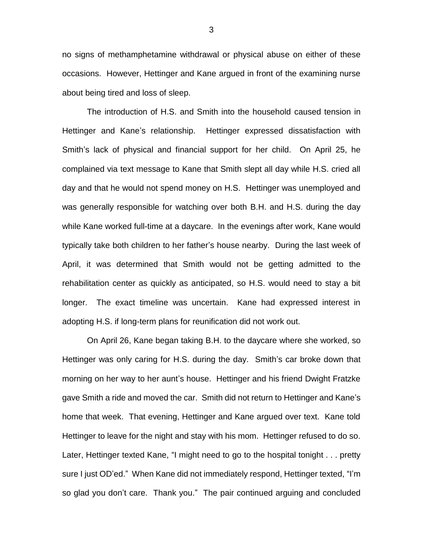no signs of methamphetamine withdrawal or physical abuse on either of these occasions. However, Hettinger and Kane argued in front of the examining nurse about being tired and loss of sleep.

The introduction of H.S. and Smith into the household caused tension in Hettinger and Kane's relationship. Hettinger expressed dissatisfaction with Smith's lack of physical and financial support for her child. On April 25, he complained via text message to Kane that Smith slept all day while H.S. cried all day and that he would not spend money on H.S. Hettinger was unemployed and was generally responsible for watching over both B.H. and H.S. during the day while Kane worked full-time at a daycare. In the evenings after work, Kane would typically take both children to her father's house nearby. During the last week of April, it was determined that Smith would not be getting admitted to the rehabilitation center as quickly as anticipated, so H.S. would need to stay a bit longer. The exact timeline was uncertain. Kane had expressed interest in adopting H.S. if long-term plans for reunification did not work out.

On April 26, Kane began taking B.H. to the daycare where she worked, so Hettinger was only caring for H.S. during the day. Smith's car broke down that morning on her way to her aunt's house. Hettinger and his friend Dwight Fratzke gave Smith a ride and moved the car. Smith did not return to Hettinger and Kane's home that week. That evening, Hettinger and Kane argued over text. Kane told Hettinger to leave for the night and stay with his mom. Hettinger refused to do so. Later, Hettinger texted Kane, "I might need to go to the hospital tonight . . . pretty sure I just OD'ed." When Kane did not immediately respond, Hettinger texted, "I'm so glad you don't care. Thank you." The pair continued arguing and concluded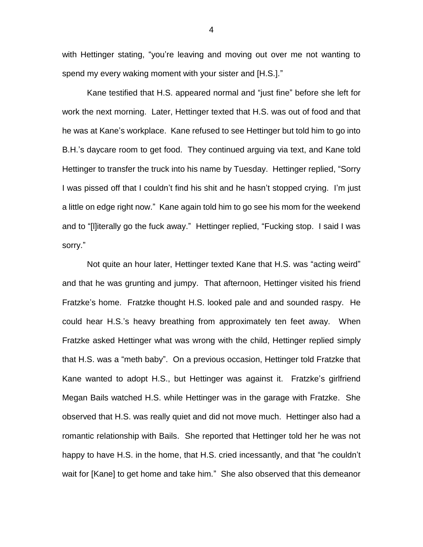with Hettinger stating, "you're leaving and moving out over me not wanting to spend my every waking moment with your sister and [H.S.]."

Kane testified that H.S. appeared normal and "just fine" before she left for work the next morning. Later, Hettinger texted that H.S. was out of food and that he was at Kane's workplace. Kane refused to see Hettinger but told him to go into B.H.'s daycare room to get food. They continued arguing via text, and Kane told Hettinger to transfer the truck into his name by Tuesday. Hettinger replied, "Sorry I was pissed off that I couldn't find his shit and he hasn't stopped crying. I'm just a little on edge right now." Kane again told him to go see his mom for the weekend and to "[l]iterally go the fuck away." Hettinger replied, "Fucking stop. I said I was sorry."

Not quite an hour later, Hettinger texted Kane that H.S. was "acting weird" and that he was grunting and jumpy. That afternoon, Hettinger visited his friend Fratzke's home. Fratzke thought H.S. looked pale and and sounded raspy. He could hear H.S.'s heavy breathing from approximately ten feet away. When Fratzke asked Hettinger what was wrong with the child, Hettinger replied simply that H.S. was a "meth baby". On a previous occasion, Hettinger told Fratzke that Kane wanted to adopt H.S., but Hettinger was against it. Fratzke's girlfriend Megan Bails watched H.S. while Hettinger was in the garage with Fratzke. She observed that H.S. was really quiet and did not move much. Hettinger also had a romantic relationship with Bails. She reported that Hettinger told her he was not happy to have H.S. in the home, that H.S. cried incessantly, and that "he couldn't wait for [Kane] to get home and take him." She also observed that this demeanor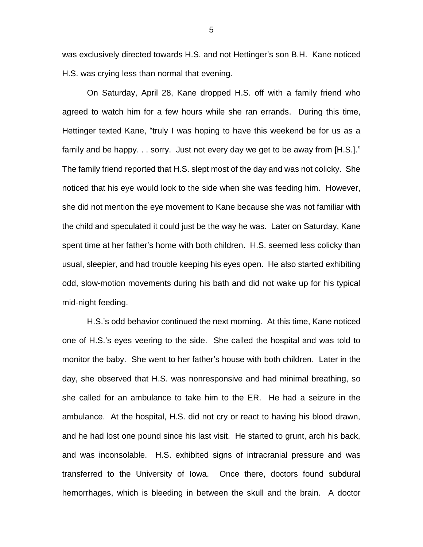was exclusively directed towards H.S. and not Hettinger's son B.H. Kane noticed H.S. was crying less than normal that evening.

On Saturday, April 28, Kane dropped H.S. off with a family friend who agreed to watch him for a few hours while she ran errands. During this time, Hettinger texted Kane, "truly I was hoping to have this weekend be for us as a family and be happy. . . sorry. Just not every day we get to be away from [H.S.]." The family friend reported that H.S. slept most of the day and was not colicky. She noticed that his eye would look to the side when she was feeding him. However, she did not mention the eye movement to Kane because she was not familiar with the child and speculated it could just be the way he was. Later on Saturday, Kane spent time at her father's home with both children. H.S. seemed less colicky than usual, sleepier, and had trouble keeping his eyes open. He also started exhibiting odd, slow-motion movements during his bath and did not wake up for his typical mid-night feeding.

H.S.'s odd behavior continued the next morning. At this time, Kane noticed one of H.S.'s eyes veering to the side. She called the hospital and was told to monitor the baby. She went to her father's house with both children. Later in the day, she observed that H.S. was nonresponsive and had minimal breathing, so she called for an ambulance to take him to the ER. He had a seizure in the ambulance. At the hospital, H.S. did not cry or react to having his blood drawn, and he had lost one pound since his last visit. He started to grunt, arch his back, and was inconsolable. H.S. exhibited signs of intracranial pressure and was transferred to the University of Iowa. Once there, doctors found subdural hemorrhages, which is bleeding in between the skull and the brain. A doctor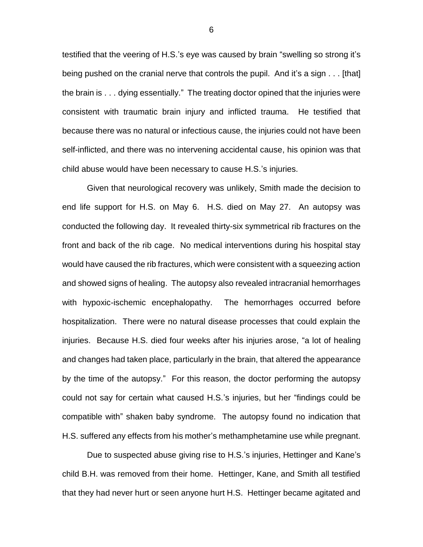testified that the veering of H.S.'s eye was caused by brain "swelling so strong it's being pushed on the cranial nerve that controls the pupil. And it's a sign . . . [that] the brain is . . . dying essentially." The treating doctor opined that the injuries were consistent with traumatic brain injury and inflicted trauma. He testified that because there was no natural or infectious cause, the injuries could not have been self-inflicted, and there was no intervening accidental cause, his opinion was that child abuse would have been necessary to cause H.S.'s injuries.

Given that neurological recovery was unlikely, Smith made the decision to end life support for H.S. on May 6. H.S. died on May 27. An autopsy was conducted the following day. It revealed thirty-six symmetrical rib fractures on the front and back of the rib cage. No medical interventions during his hospital stay would have caused the rib fractures, which were consistent with a squeezing action and showed signs of healing. The autopsy also revealed intracranial hemorrhages with hypoxic-ischemic encephalopathy. The hemorrhages occurred before hospitalization. There were no natural disease processes that could explain the injuries. Because H.S. died four weeks after his injuries arose, "a lot of healing and changes had taken place, particularly in the brain, that altered the appearance by the time of the autopsy." For this reason, the doctor performing the autopsy could not say for certain what caused H.S.'s injuries, but her "findings could be compatible with" shaken baby syndrome. The autopsy found no indication that H.S. suffered any effects from his mother's methamphetamine use while pregnant.

Due to suspected abuse giving rise to H.S.'s injuries, Hettinger and Kane's child B.H. was removed from their home. Hettinger, Kane, and Smith all testified that they had never hurt or seen anyone hurt H.S. Hettinger became agitated and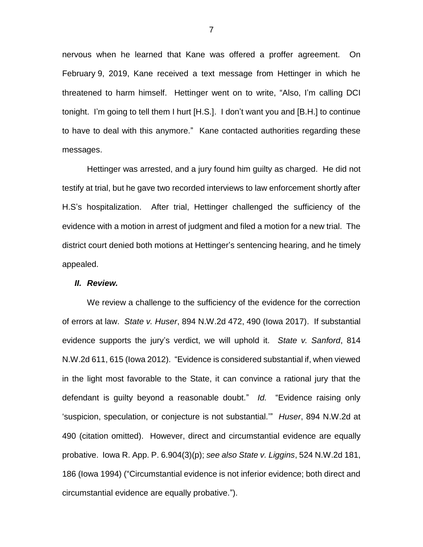nervous when he learned that Kane was offered a proffer agreement. On February 9, 2019, Kane received a text message from Hettinger in which he threatened to harm himself. Hettinger went on to write, "Also, I'm calling DCI tonight. I'm going to tell them I hurt [H.S.]. I don't want you and [B.H.] to continue to have to deal with this anymore." Kane contacted authorities regarding these messages.

Hettinger was arrested, and a jury found him guilty as charged. He did not testify at trial, but he gave two recorded interviews to law enforcement shortly after H.S's hospitalization. After trial, Hettinger challenged the sufficiency of the evidence with a motion in arrest of judgment and filed a motion for a new trial. The district court denied both motions at Hettinger's sentencing hearing, and he timely appealed.

## *II. Review.*

We review a challenge to the sufficiency of the evidence for the correction of errors at law. *State v. Huser*, 894 N.W.2d 472, 490 (Iowa 2017). If substantial evidence supports the jury's verdict, we will uphold it. *State v. Sanford*, 814 N.W.2d 611, 615 (Iowa 2012). "Evidence is considered substantial if, when viewed in the light most favorable to the State, it can convince a rational jury that the defendant is guilty beyond a reasonable doubt." *Id.* "Evidence raising only 'suspicion, speculation, or conjecture is not substantial.'" *Huser*, 894 N.W.2d at 490 (citation omitted). However, direct and circumstantial evidence are equally probative. Iowa R. App. P. 6.904(3)(p); *see also State v. Liggins*, 524 N.W.2d 181, 186 (Iowa 1994) ("Circumstantial evidence is not inferior evidence; both direct and circumstantial evidence are equally probative.").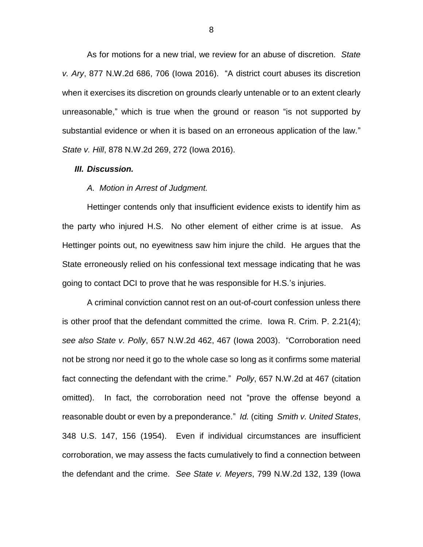As for motions for a new trial, we review for an abuse of discretion. *State v. Ary*, 877 N.W.2d 686, 706 (Iowa 2016). "A district court abuses its discretion when it exercises its discretion on grounds clearly untenable or to an extent clearly unreasonable," which is true when the ground or reason "is not supported by substantial evidence or when it is based on an erroneous application of the law." *State v. Hill*, 878 N.W.2d 269, 272 (Iowa 2016).

#### *III. Discussion.*

#### *A. Motion in Arrest of Judgment.*

Hettinger contends only that insufficient evidence exists to identify him as the party who injured H.S. No other element of either crime is at issue. As Hettinger points out, no eyewitness saw him injure the child. He argues that the State erroneously relied on his confessional text message indicating that he was going to contact DCI to prove that he was responsible for H.S.'s injuries.

A criminal conviction cannot rest on an out-of-court confession unless there is other proof that the defendant committed the crime. Iowa R. Crim. P. 2.21(4); *see also State v. Polly*, 657 N.W.2d 462, 467 (Iowa 2003). "Corroboration need not be strong nor need it go to the whole case so long as it confirms some material fact connecting the defendant with the crime." *Polly*, 657 N.W.2d at 467 (citation omitted). In fact, the corroboration need not "prove the offense beyond a reasonable doubt or even by a preponderance." *Id.* (citing *Smith v. United States*, 348 U.S. 147, 156 (1954). Even if individual circumstances are insufficient corroboration, we may assess the facts cumulatively to find a connection between the defendant and the crime. *See State v. Meyers*, 799 N.W.2d 132, 139 (Iowa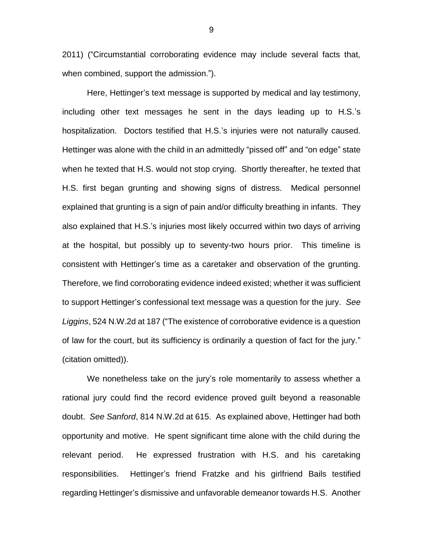2011) ("Circumstantial corroborating evidence may include several facts that, when combined, support the admission.").

Here, Hettinger's text message is supported by medical and lay testimony, including other text messages he sent in the days leading up to H.S.'s hospitalization. Doctors testified that H.S.'s injuries were not naturally caused. Hettinger was alone with the child in an admittedly "pissed off" and "on edge" state when he texted that H.S. would not stop crying. Shortly thereafter, he texted that H.S. first began grunting and showing signs of distress. Medical personnel explained that grunting is a sign of pain and/or difficulty breathing in infants. They also explained that H.S.'s injuries most likely occurred within two days of arriving at the hospital, but possibly up to seventy-two hours prior. This timeline is consistent with Hettinger's time as a caretaker and observation of the grunting. Therefore, we find corroborating evidence indeed existed; whether it was sufficient to support Hettinger's confessional text message was a question for the jury. *See Liggins*, 524 N.W.2d at 187 ("The existence of corroborative evidence is a question of law for the court, but its sufficiency is ordinarily a question of fact for the jury." (citation omitted)).

We nonetheless take on the jury's role momentarily to assess whether a rational jury could find the record evidence proved guilt beyond a reasonable doubt. *See Sanford*, 814 N.W.2d at 615. As explained above, Hettinger had both opportunity and motive. He spent significant time alone with the child during the relevant period. He expressed frustration with H.S. and his caretaking responsibilities. Hettinger's friend Fratzke and his girlfriend Bails testified regarding Hettinger's dismissive and unfavorable demeanor towards H.S. Another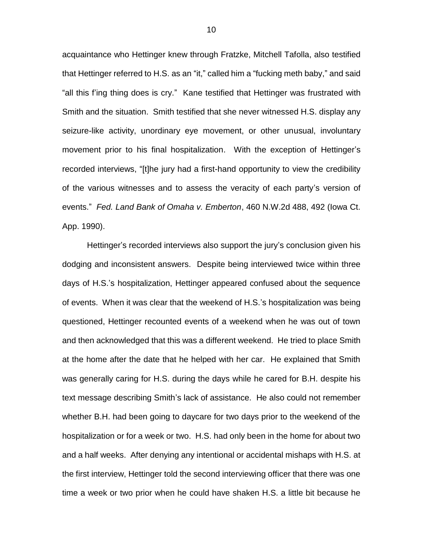acquaintance who Hettinger knew through Fratzke, Mitchell Tafolla, also testified that Hettinger referred to H.S. as an "it," called him a "fucking meth baby," and said "all this f'ing thing does is cry." Kane testified that Hettinger was frustrated with Smith and the situation. Smith testified that she never witnessed H.S. display any seizure-like activity, unordinary eye movement, or other unusual, involuntary movement prior to his final hospitalization. With the exception of Hettinger's recorded interviews, "[t]he jury had a first-hand opportunity to view the credibility of the various witnesses and to assess the veracity of each party's version of events." *Fed. Land Bank of Omaha v. Emberton*, 460 N.W.2d 488, 492 (Iowa Ct. App. 1990).

Hettinger's recorded interviews also support the jury's conclusion given his dodging and inconsistent answers. Despite being interviewed twice within three days of H.S.'s hospitalization, Hettinger appeared confused about the sequence of events. When it was clear that the weekend of H.S.'s hospitalization was being questioned, Hettinger recounted events of a weekend when he was out of town and then acknowledged that this was a different weekend. He tried to place Smith at the home after the date that he helped with her car. He explained that Smith was generally caring for H.S. during the days while he cared for B.H. despite his text message describing Smith's lack of assistance. He also could not remember whether B.H. had been going to daycare for two days prior to the weekend of the hospitalization or for a week or two. H.S. had only been in the home for about two and a half weeks. After denying any intentional or accidental mishaps with H.S. at the first interview, Hettinger told the second interviewing officer that there was one time a week or two prior when he could have shaken H.S. a little bit because he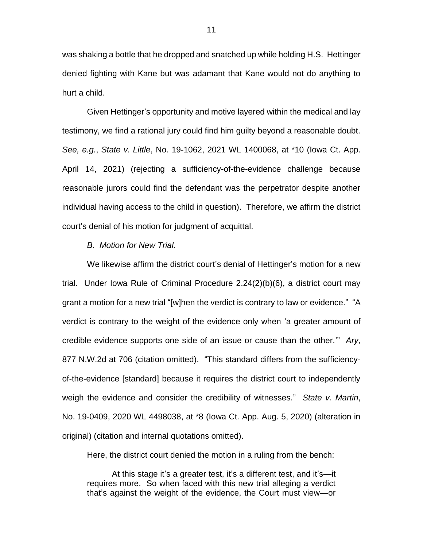was shaking a bottle that he dropped and snatched up while holding H.S. Hettinger denied fighting with Kane but was adamant that Kane would not do anything to hurt a child.

Given Hettinger's opportunity and motive layered within the medical and lay testimony, we find a rational jury could find him guilty beyond a reasonable doubt. *See, e.g.*, *State v. Little*, No. 19-1062, 2021 WL 1400068, at \*10 (Iowa Ct. App. April 14, 2021) (rejecting a sufficiency-of-the-evidence challenge because reasonable jurors could find the defendant was the perpetrator despite another individual having access to the child in question). Therefore, we affirm the district court's denial of his motion for judgment of acquittal.

#### *B. Motion for New Trial.*

We likewise affirm the district court's denial of Hettinger's motion for a new trial. Under Iowa Rule of Criminal Procedure 2.24(2)(b)(6), a district court may grant a motion for a new trial "[w]hen the verdict is contrary to law or evidence." "A verdict is contrary to the weight of the evidence only when 'a greater amount of credible evidence supports one side of an issue or cause than the other.'" *Ary*, 877 N.W.2d at 706 (citation omitted). "This standard differs from the sufficiencyof-the-evidence [standard] because it requires the district court to independently weigh the evidence and consider the credibility of witnesses." *State v. Martin*, No. 19-0409, 2020 WL 4498038, at \*8 (Iowa Ct. App. Aug. 5, 2020) (alteration in original) (citation and internal quotations omitted).

Here, the district court denied the motion in a ruling from the bench:

At this stage it's a greater test, it's a different test, and it's—it requires more. So when faced with this new trial alleging a verdict that's against the weight of the evidence, the Court must view—or